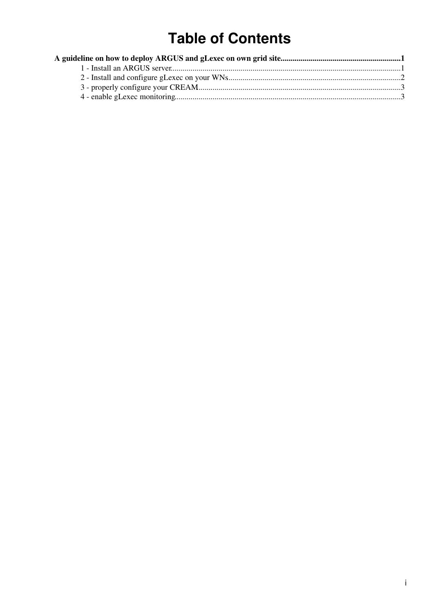# **Table of Contents**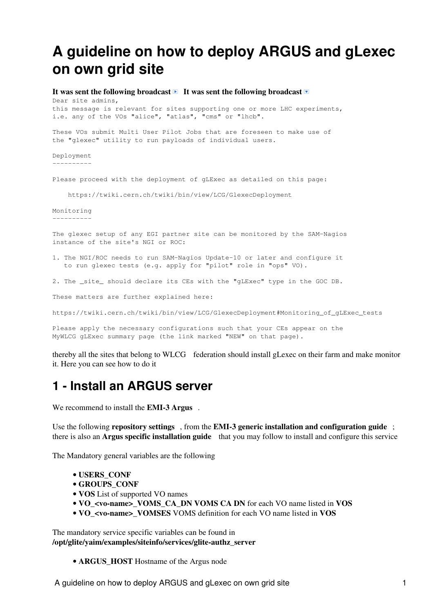# <span id="page-1-0"></span>**A guideline on how to deploy ARGUS and gLexec on own grid site**

#### It was sent the following broadcast  $\blacksquare$  It was sent the following broadcast  $\blacksquare$

Dear site admins, this message is relevant for sites supporting one or more LHC experiments, i.e. any of the VOs "alice", "atlas", "cms" or "lhcb".

These VOs submit Multi User Pilot Jobs that are foreseen to make use of the "glexec" utility to run payloads of individual users.

Deployment ----------

Please proceed with the deployment of gLExec as detailed on this page:

https://twiki.cern.ch/twiki/bin/view/LCG/GlexecDeployment

Monitoring ----------

The glexec setup of any EGI partner site can be monitored by the SAM-Nagios instance of the site's NGI or ROC:

- 1. The NGI/ROC needs to run SAM-Nagios Update-10 or later and configure it to run glexec tests (e.g. apply for "pilot" role in "ops" VO).
- 2. The \_site\_ should declare its CEs with the "gLExec" type in the GOC DB.

These matters are further explained here:

https://twiki.cern.ch/twiki/bin/view/LCG/GlexecDeployment#Monitoring\_of\_gLExec\_tests

Please apply the necessary configurations such that your CEs appear on the MyWLCG gLExec summary page (the link marked "NEW" on that page).

thereby all the sites that belong to [WLCG](http://gstat-prod.cern.ch/gstat/summary/GRID/WLCG/) federation should install gLexec on their farm and make monitor it. Here you can see how to do it

### <span id="page-1-1"></span>**1 - Install an ARGUS server**

We recommend to install the **[EMI-3 Argus](http://www.eu-emi.eu/products/-/asset_publisher/1gkD/content/argus-2)** .

Use the following **[repository settings](https://twiki.cern.ch/twiki/bin/view/EMI/GenericInstallationConfigurationEMI3#Configuring_the_use_of_EMI_3_rep)**, from the **EMI-3 generic installation and configuration guide**; there is also an **[Argus specific installation guide](https://twiki.cern.ch/twiki/bin/view/EGEE/ArgusEMIDeployment)** that you may follow to install and configure this service

The Mandatory general variables are the following

- **USERS\_CONF**
- **GROUPS\_CONF**
- **VOS** List of supported VO names
- **VO\_<vo-name>\_VOMS\_CA\_DN VOMS CA DN** for each VO name listed in **VOS**
- **VO\_<vo-name>\_VOMSES** VOMS definition for each VO name listed in **VOS**

The mandatory service specific variables can be found in **/opt/glite/yaim/examples/siteinfo/services/glite-authz\_server**

• **ARGUS\_HOST** Hostname of the Argus node

A guideline on how to deploy ARGUS and gLexec on own grid site 1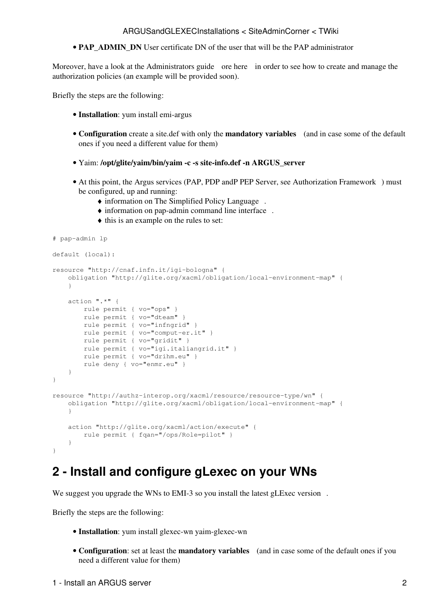#### ARGUSandGLEXECInstallations < SiteAdminCorner < TWiki

• **PAP\_ADMIN\_DN** User certificate DN of the user that will be the PAP administrator

Moreover, have a look at the [Administrators guide](https://twiki.cern.ch/twiki/pub/EMI/ArgusEMIDocumentation/emi-argus-sys_admin_guide-1.0.0.pdf) ore [here](https://twiki.cern.ch/twiki/bin/view/EGEE/AuthorizationFramework) in order to see how to create and manage the authorization policies (an example will be provided soon).

Briefly the steps are the following:

- **Installation**: yum install emi-argus
- Configuration create a site.def with only the **[mandatory variables](https://twiki.cern.ch/twiki/bin/view/EGEE/ArgusEMIYaimConfiguration)** (and in case some of the default ones if you need a different value for them)
- Yaim: **/opt/glite/yaim/bin/yaim -c -s site-info.def -n ARGUS\_server**
- At this point, the Argus services (PAP, PDP andP PEP Server, see [Authorization Framework](https://twiki.cern.ch/twiki/bin/view/EGEE/AuthorizationFramework)) must be configured, up and running:
	- ♦ information on [The Simplified Policy Language](https://twiki.cern.ch/twiki/bin/view/EGEE/SimplifiedPolicyLanguage) .
	- $\bullet$  information on [pap-admin command line interface](https://twiki.cern.ch/twiki/bin/view/EGEE/AuthZPAPCLI).
	- ♦ this is an example on the rules to set:

```
# pap-admin lp
```

```
default (local):
resource "http://cnaf.infn.it/igi-bologna" {
     obligation "http://glite.org/xacml/obligation/local-environment-map" {
 }
     action ".*" {
        rule permit { vo="ops" }
         rule permit { vo="dteam" }
        rule permit { vo="infngrid" }
        rule permit { vo="comput-er.it" }
        rule permit { vo="gridit" }
        rule permit { vo="igi.italiangrid.it" }
        rule permit { vo="drihm.eu" }
        rule deny { vo="enmr.eu" }
     }
}
resource "http://authz-interop.org/xacml/resource/resource-type/wn" {
     obligation "http://glite.org/xacml/obligation/local-environment-map" {
     }
     action "http://glite.org/xacml/action/execute" {
         rule permit { fqan="/ops/Role=pilot" }
     }
}
```
### <span id="page-2-0"></span>**2 - Install and configure gLexec on your WNs**

We suggest you upgrade the WNs to EMI-3 so you install the [latest gLExec version](http://www.eu-emi.eu/releases/emi-3-montebianco/products/-/asset_publisher/5dKm/content/glexec-wn-1).

Briefly the steps are the following:

- **Installation**: yum install glexec-wn yaim-glexec-wn
- **Configuration**: set at least the **mandatory variables** (and in case some of the default ones if you need a different value for them)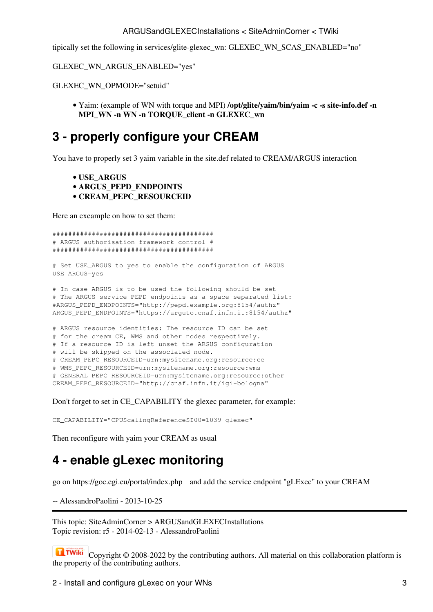#### ARGUSandGLEXECInstallations < SiteAdminCorner < TWiki

tipically set the following in services/glite-glexec\_wn: GLEXEC\_WN\_SCAS\_ENABLED="no"

GLEXEC\_WN\_ARGUS\_ENABLED="yes"

GLEXEC WN OPMODE="setuid"

• Yaim: (example of WN with torque and MPI) /opt/glite/yaim/bin/yaim -c -s site-info.def -n MPI WN -n WN -n TORQUE client -n GLEXEC wn

## <span id="page-3-0"></span>3 - properly configure your CREAM

You have to properly set 3 yaim variable in the site def related to CREAM/ARGUS interaction

```
• USE ARGUS
```
- · ARGUS\_PEPD\_ENDPOINTS
- · CREAM\_PEPC\_RESOURCEID

Here an exeample on how to set them:

```
# ARGUS authorisation framework control #
```
# Set USE\_ARGUS to yes to enable the configuration of ARGUS USE\_ARGUS=yes

# In case ARGUS is to be used the following should be set # The ARGUS service PEPD endpoints as a space separated list: #ARGUS\_PEPD\_ENDPOINTS="http://pepd.example.org:8154/authz" ARGUS\_PEPD\_ENDPOINTS="https://arguto.cnaf.infn.it:8154/authz"

```
# ARGUS resource identities: The resource ID can be set
# for the cream CE, WMS and other nodes respectively.
# If a resource ID is left unset the ARGUS configuration
# will be skipped on the associated node.
# CREAM_PEPC_RESOURCEID=urn:mysitename.org:resource:ce
# WMS_PEPC_RESOURCEID=urn:mysitename.org:resource:wms
# GENERAL PEPC_RESOURCEID=urn:mysitename.org:resource:other
CREAM_PEPC_RESOURCEID="http://cnaf.infn.it/igi-bologna"
```
Don't forget to set in CE CAPABILITY the glexec parameter, for example:

CE\_CAPABILITY="CPUScalingReferenceSI00=1039 glexec"

Then reconfigure with yaim your CREAM as usual

# <span id="page-3-1"></span>4 - enable gLexec monitoring

go on https://goc.egi.eu/portal/index.php and add the service endpoint "gLExec" to your CREAM

-- AlessandroPaolini - 2013-10-25

This topic: SiteAdminCorner > ARGUSandGLEXECInstallations Topic revision: r5 - 2014-02-13 - AlessandroPaolini

**T** TWiki Copyright  $\odot$  2008-2022 by the contributing authors. All material on this collaboration platform is the property of the contributing authors.

2 - Install and configure gLexec on your WNs